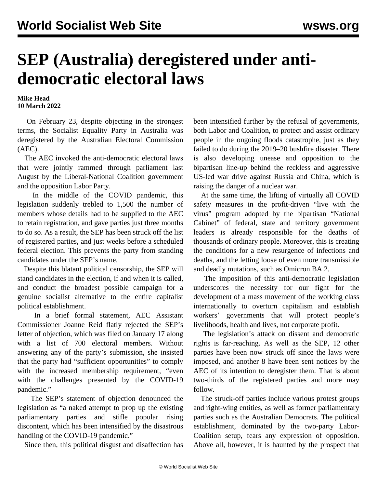## **SEP (Australia) deregistered under antidemocratic electoral laws**

## **Mike Head 10 March 2022**

 On February 23, despite objecting in the strongest terms, the Socialist Equality Party in Australia was deregistered by the Australian Electoral Commission (AEC).

 The AEC invoked the anti-democratic electoral laws that were jointly rammed through parliament last August by the Liberal-National Coalition government and the opposition Labor Party.

 In the middle of the COVID pandemic, this legislation suddenly trebled to 1,500 the number of members whose details had to be supplied to the AEC to retain registration, and gave parties just three months to do so. As a result, the SEP has been struck off the list of registered parties, and just weeks before a scheduled federal election. This prevents the party from standing candidates under the SEP's name.

 Despite this blatant political censorship, the SEP will stand candidates in the election, if and when it is called, and conduct the broadest possible campaign for a genuine socialist alternative to the entire capitalist political establishment.

 In a brief formal statement, AEC Assistant Commissioner Joanne Reid flatly rejected the SEP's letter of objection, which was filed on January 17 along with a list of 700 electoral members. Without answering any of the party's submission, she insisted that the party had "sufficient opportunities" to comply with the increased membership requirement, "even with the challenges presented by the COVID-19 pandemic."

 The SEP's [statement of objection](/en/articles/2022/01/31/elec-j31.html) denounced the legislation as "a naked attempt to prop up the existing parliamentary parties and stifle popular rising discontent, which has been intensified by the disastrous handling of the COVID-19 pandemic."

Since then, this political disgust and disaffection has

been intensified further by the refusal of governments, both Labor and Coalition, to protect and assist ordinary people in the ongoing floods catastrophe, just as they failed to do during the 2019–20 bushfire disaster. There is also developing unease and opposition to the bipartisan line-up behind the reckless and aggressive US-led war drive against Russia and China, which is raising the danger of a nuclear war.

 At the same time, the lifting of virtually all COVID safety measures in the profit-driven "live with the virus" program adopted by the bipartisan "National Cabinet" of federal, state and territory government leaders is already responsible for the deaths of thousands of ordinary people. Moreover, this is creating the conditions for a new resurgence of infections and deaths, and the letting loose of even more transmissible and deadly mutations, such as Omicron BA.2.

 The imposition of this anti-democratic legislation underscores the necessity for our fight for the development of a mass movement of the working class internationally to overturn capitalism and establish workers' governments that will protect people's livelihoods, health and lives, not corporate profit.

 The legislation's attack on dissent and democratic rights is far-reaching. As well as the SEP, 12 other parties have been now struck off since the laws were imposed, and another 8 have been sent notices by the AEC of its intention to deregister them. That is about two-thirds of the registered parties and more may follow.

 The struck-off parties include various protest groups and right-wing entities, as well as former parliamentary parties such as the Australian Democrats. The political establishment, dominated by the two-party Labor-Coalition setup, fears any expression of opposition. Above all, however, it is haunted by the prospect that